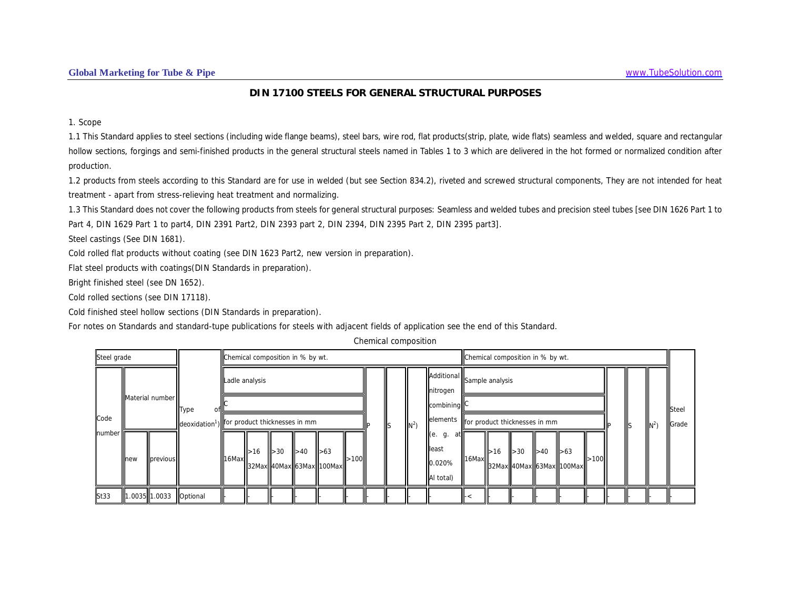### **DIN 17100 STEELS FOR GENERAL STRUCTURAL PURPOSES**

1. Scope

1.1 This Standard applies to steel sections (including wide flange beams), steel bars, wire rod, flat products(strip, plate, wide flats) seamless and welded, square and rectangular hollow sections, forgings and semi-finished products in the general structural steels named in Tables 1 to 3 which are delivered in the hot formed or normalized condition after production.

1.2 products from steels according to this Standard are for use in welded (but see Section 834.2), riveted and screwed structural components, They are not intended for heat treatment - apart from stress-relieving heat treatment and normalizing.

1.3 This Standard does not cover the following products from steels for general structural purposes: Seamless and welded tubes and precision steel tubes [see DIN 1626 Part 1 to Part 4, DIN 1629 Part 1 to part4, DIN 2391 Part2, DIN 2393 part 2, DIN 2394, DIN 2395 Part 2, DIN 2395 part3].

Steel castings (See DIN 1681).

Cold rolled flat products without coating (see DIN 1623 Part2, new version in preparation).

Flat steel products with coatings(DIN Standards in preparation).

Bright finished steel (see DN 1652).

Cold rolled sections (see DIN 17118).

Cold finished steel hollow sections (DIN Standards in preparation).

For notes on Standards and standard-tupe publications for steels with adjacent fields of application see the end of this Standard.

Chemical composition

| Steel grade |       |                 |                                                                         |                |      | Chemical composition in % by wt. |                          |                                           |      |     |       |                                                     |             |     | Chemical composition in % by wt. |     |                                                      |      |         |  |                |
|-------------|-------|-----------------|-------------------------------------------------------------------------|----------------|------|----------------------------------|--------------------------|-------------------------------------------|------|-----|-------|-----------------------------------------------------|-------------|-----|----------------------------------|-----|------------------------------------------------------|------|---------|--|----------------|
|             |       |                 |                                                                         | Ladle analysis |      |                                  |                          |                                           |      |     |       | Additional Sample analysis<br>nitrogen              |             |     |                                  |     |                                                      |      | $\ln^2$ |  |                |
| Code        |       | Material number | <b>Type</b><br>deoxidation <sup>1</sup> ) for product thicknesses in mm |                |      |                                  |                          |                                           |      | IIs | $N^2$ | combining<br>elements for product thicknesses in mm |             |     |                                  |     |                                                      |      |         |  | Steel<br>Grade |
| number      | llnew | previous        |                                                                         | 16Max          | I>16 | $\blacktriangleright$ 30         | $\blacktriangleright$ 40 | $\vert$ $>63$<br>32Max 40Max 63Max 100Max | >100 |     |       | g.<br>lleast<br>.020%<br>Al total)                  | $16$ Max    | >16 | $\geq 30$                        | >40 | $\blacktriangleright$ 63<br>32Max 40Max 63Max 100Max | .100 |         |  |                |
| St33        |       | 1.0035 1.0033   | Optional                                                                |                |      |                                  |                          |                                           |      |     |       |                                                     | $\ddot{\,}$ |     |                                  |     |                                                      |      |         |  |                |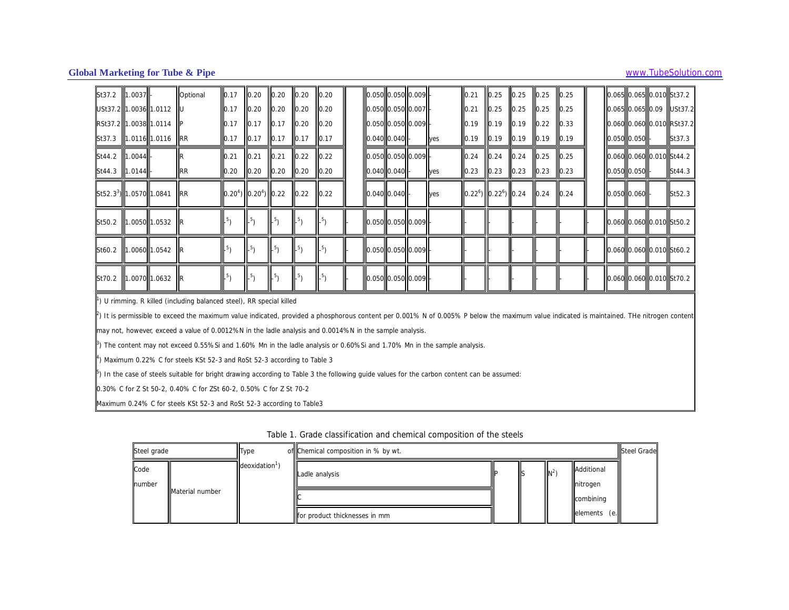| St37.2                            | 1.0037 | Optional                                                                                                                                                                                             | 0.17   | $0.20$ 0.20 0.20                                    |                  |        | $\vert$ 0.20    | 0.050 0.050 0.009                                 |  |               | 0.21                       | 0.25 | $\mathsf{II}0.25$ | 0.25           | $\mathsf{I}$ 0.25 |             |  | 0.065 0.065 0.010 St37.2  |
|-----------------------------------|--------|------------------------------------------------------------------------------------------------------------------------------------------------------------------------------------------------------|--------|-----------------------------------------------------|------------------|--------|-----------------|---------------------------------------------------|--|---------------|----------------------------|------|-------------------|----------------|-------------------|-------------|--|---------------------------|
| USt37.2 1.0036 1.0112             |        |                                                                                                                                                                                                      | 0.17   | $0.20$ 0.20 0.20                                    |                  |        | 0.20            | 0.050 0.050 0.007                                 |  |               | 0.21                       | 0.25 | 0.25              | 0.25           | $\mathsf{I}$ 0.25 |             |  | 0.065 0.065 0.09 USt37.2  |
| RSt37.2 1.0038 1.0114             |        |                                                                                                                                                                                                      | 0.17   | $0.17$ 0.17 0.20                                    |                  |        | $\vert$ 0.20    | $0.050$ 0.050 0.009                               |  |               | 0.19                       | 0.19 | 10.19             | 0.22           | $\mathsf{I}$ 0.33 |             |  | 0.060 0.060 0.010 RSt37.2 |
| St37.3 1.0116 1.0116              |        | <b>IRR</b>                                                                                                                                                                                           | 0.17   | $\vert$ 0.17 $\vert$ 0.17 $\vert$ 0.17              |                  |        | $\vert$ 0.17    | 0.040 0.040                                       |  | lyes          | 0.19                       | 0.19 | $\vert$ 0.19      | $ 0.19\rangle$ | 0.19              | 0.050 0.050 |  | St37.3                    |
| St44.2 1.0044                     |        |                                                                                                                                                                                                      | 10.21  | 0.21                                                | 0.21             | 0.22   | $\vert$ 0.22    | $0.050$ 0.050 0.009                               |  |               | 0.24                       | 0.24 | 0.24              | $\vert$ 0.25   | $\mathsf{I}$ 0.25 |             |  | 0.060 0.060 0.010 St44.2  |
| St44.3 1.0144                     |        | <b>RR</b>                                                                                                                                                                                            |        | $\vert$ 0.20 $\vert$ 0.20 $\vert$ 0.20 $\vert$ 0.20 |                  |        | $ 0.20\rangle$  | $0.040$ 0.040                                     |  | <b>Illyes</b> | 0.23                       | 0.23 | 0.23              | 0.23           | $\vert$ 0.23      | 0.050 0.050 |  | St44.3                    |
| St52.3 <sup>3</sup> 1.0570 1.0841 |        | <b>IRR</b>                                                                                                                                                                                           |        | $0.20^{4})$ 0.20 <sup>4</sup> ) 0.22                |                  | 0.22   | 0.22            | 0.040 0.040                                       |  | <b>Ives</b>   | $0.22^6$ ) $0.22^6$ ) 0.24 |      |                   | 0.24           | 0.24              | 0.050 0.060 |  | St52.3                    |
| St50.2 1.0050 1.0532              |        |                                                                                                                                                                                                      | $-5$ ) | $-5$ )                                              | $\mathbb{L}^{5}$ | $-5$ ) | .5 <sub>1</sub> | $\vert$ 0.050 $\vert$ 0.050 $\vert$ 0.009 $\vert$ |  |               |                            |      |                   |                |                   |             |  | 0.060 0.060 0.010 St50.2  |
| St60.2 1.0060 1.0542              |        |                                                                                                                                                                                                      | $-5$   | $-5$ )                                              | $\mathbb{L}^{5}$ | $-5$ ) | $5\lambda$      | 0.050 0.050 0.009                                 |  |               |                            |      |                   |                |                   |             |  | 0.060 0.060 0.010 St60.2  |
| St70.2 1.0070 1.0632              |        |                                                                                                                                                                                                      | $^{5}$ | $^{5}$                                              | $-5$             | $^{5}$ |                 | 0.050 0.050 0.009                                 |  |               |                            |      |                   |                |                   |             |  | 0.060 0.060 0.010 St70.2  |
|                                   |        | $\parallel$ ) U rimming. R killed (including balanced steel), RR special killed                                                                                                                      |        |                                                     |                  |        |                 |                                                   |  |               |                            |      |                   |                |                   |             |  |                           |
|                                   |        | $\mathbb F$ ) It is permissible to exceed the maximum value indicated, provided a phosphorous content per 0.001% N of 0.005% P below the maximum value indicated is maintained. The nitrogen content |        |                                                     |                  |        |                 |                                                   |  |               |                            |      |                   |                |                   |             |  |                           |
|                                   |        | may not, however, exceed a value of 0.0012%N in the ladle analysis and 0.0014%N in the sample analysis.                                                                                              |        |                                                     |                  |        |                 |                                                   |  |               |                            |      |                   |                |                   |             |  |                           |
|                                   |        | $\parallel$ <sup>6</sup> ) The content may not exceed 0.55%Si and 1.60% Mn in the ladle analysis or 0.60%Si and 1.70% Mn in the sample analysis.                                                     |        |                                                     |                  |        |                 |                                                   |  |               |                            |      |                   |                |                   |             |  |                           |
|                                   |        | $\uparrow$ ) Maximum 0.22% C for steels KSt 52-3 and RoSt 52-3 according to Table 3                                                                                                                  |        |                                                     |                  |        |                 |                                                   |  |               |                            |      |                   |                |                   |             |  |                           |
|                                   |        | $\mathbb P$ ) In the case of steels suitable for bright drawing according to Table 3 the following quide values for the carbon content can be assumed:                                               |        |                                                     |                  |        |                 |                                                   |  |               |                            |      |                   |                |                   |             |  |                           |
|                                   |        | 0.30% C for Z St 50-2, 0.40% C for ZSt 60-2, 0.50% C for Z St 70-2                                                                                                                                   |        |                                                     |                  |        |                 |                                                   |  |               |                            |      |                   |                |                   |             |  |                           |
|                                   |        | Maximum 0.24% C for steels KSt 52-3 and RoSt 52-3 according to Table3                                                                                                                                |        |                                                     |                  |        |                 |                                                   |  |               |                            |      |                   |                |                   |             |  |                           |

| Table 1. Grade classification and chemical composition of the steels |  |  |  |  |  |  |  |  |
|----------------------------------------------------------------------|--|--|--|--|--|--|--|--|
|----------------------------------------------------------------------|--|--|--|--|--|--|--|--|

| Steel grade    |                        | <b>Type</b>      | of Chemical composition in % by wt. |     |                         | <b>Steel Grade</b> |
|----------------|------------------------|------------------|-------------------------------------|-----|-------------------------|--------------------|
| Code<br>number |                        | $deoxidation1$ ) | Ladle analysis                      | lls | Additional<br>Initrogen |                    |
|                | <b>Material number</b> |                  |                                     |     | combining               |                    |
|                |                        |                  | for product thicknesses in mm       |     | elements<br>(e.         |                    |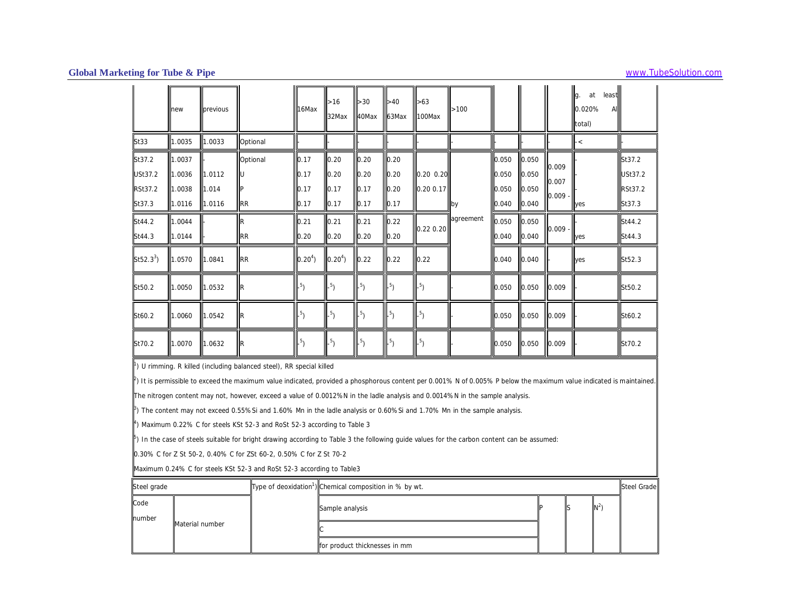|                                                      | new                                  | previous                  |                        | 16Max                        | >16<br>32Max                 | >30<br>40Max                   | >40<br>63Max                 | $\vert$ >63<br>100Max  | >100      |                                  |                                                                    |                         | lg.<br>at<br>least<br>0.020%<br>A<br>total) |                                                      |
|------------------------------------------------------|--------------------------------------|---------------------------|------------------------|------------------------------|------------------------------|--------------------------------|------------------------------|------------------------|-----------|----------------------------------|--------------------------------------------------------------------|-------------------------|---------------------------------------------|------------------------------------------------------|
| <b>St33</b>                                          | 1.0035                               | 1.0033                    | Optional               |                              |                              |                                |                              |                        |           |                                  |                                                                    |                         | $-<$                                        |                                                      |
| St37.2<br><b>USt37.2</b><br><b>RSt37.2</b><br>St37.3 | 1.0037<br>1.0036<br>1.0038<br>1.0116 | 1.0112<br>1.014<br>1.0116 | Optional<br><b>IRR</b> | 0.17<br>0.17<br>0.17<br>0.17 | 0.20<br>0.20<br>0.17<br>0.17 | 0.20<br>10.20<br>0.17<br>10.17 | 0.20<br>0.20<br>0.20<br>0.17 | 0.20 0.20<br>0.20 0.17 | <b>by</b> | 0.050<br>0.050<br>0.050<br>0.040 | $\parallel$ 0.050<br>$\parallel$ 0.050<br>$\vert$ 0.050<br>  0.040 | 0.009<br>0.007<br>0.009 | <b>yes</b>                                  | St37.2<br><b>USt37.2</b><br><b>RSt37.2</b><br>St37.3 |
| St44.2<br>St44.3                                     | 1.0044<br>1.0144                     |                           | llR<br><b>IRR</b>      | 0.21<br>0.20                 | 0.21<br>0.20                 | 10.21<br>0.20                  | 0.22<br>0.20                 | 0.22 0.20              | agreement | 0.050<br>0.040                   | $\vert$ 0.050<br>0.040                                             | 0.009                   | <b>yes</b>                                  | St44.2<br>St44.3                                     |
| $St52.3^3$                                           | 1.0570                               | 1.0841                    | <b>IRR</b>             | 0.20 <sup>4</sup>            | 0.20 <sup>4</sup>            | 0.22                           | 0.22                         | 0.22                   |           | 0.040                            | $\parallel$ 0.040                                                  |                         | yes                                         | St52.3                                               |
| St50.2                                               | 1.0050                               | 1.0532                    | llR                    | $^{5}$                       | $-5$                         | $-5$ )                         | $-5$ )                       | $-5$                   |           | 0.050                            | 0.050                                                              | 10.009                  |                                             | St50.2                                               |
| St60.2                                               | 1.0060                               | 1.0542                    | llR                    | $^{5}$                       | $-5$                         | $-5$ )                         | $\frac{5}{2}$                | $-5$                   |           | 0.050                            | $\vert$ 0.050                                                      | 10.009                  |                                             | St60.2                                               |
| St70.2                                               | 1.0070                               | 1.0632                    | IIIR                   | $5^{5}$                      | $-5$                         | $-5$ )                         | $\mathsf{L}^{5}$             | $-5$                   |           | 0.050                            | $\parallel$ 0.050                                                  | 0.009                   |                                             | St70.2                                               |

<sup>1</sup>) U rimming. R killed (including balanced steel), RR special killed

 $^{2})$  It is permissible to exceed the maximum value indicated, provided a phosphorous content per 0.001% N of 0.005% P below the maximum value indicated is maintained.

The nitrogen content may not, however, exceed a value of 0.0012%N in the ladle analysis and 0.0014%N in the sample analysis.

<sup>3</sup>) The content may not exceed 0.55%Si and 1.60% Mn in the ladle analysis or 0.60%Si and 1.70% Mn in the sample analysis.

 $4$ ) Maximum 0.22% C for steels KSt 52-3 and RoSt 52-3 according to Table 3

 $5$ ) In the case of steels suitable for bright drawing according to Table 3 the following guide values for the carbon content can be assumed:

0.30% C for Z St 50-2, 0.40% C for ZSt 60-2, 0.50% C for Z St 70-2

Maximum 0.24% C for steels KSt 52-3 and RoSt 52-3 according to Table3

| Steel grade |                 | Type of deoxidation <sup>1</sup> ) Chemical composition in % by wt. |  |                | <b>Steel Grade</b> |
|-------------|-----------------|---------------------------------------------------------------------|--|----------------|--------------------|
| Code        |                 | Sample analysis                                                     |  | $\mathbb{N}^2$ |                    |
| number      | Material number |                                                                     |  |                |                    |
|             |                 | for product thicknesses in mm                                       |  |                |                    |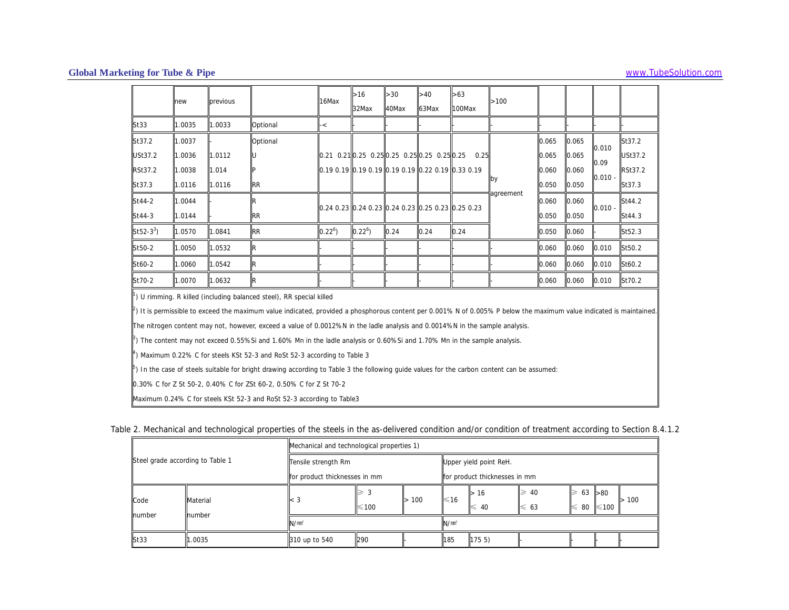|                       | new    | previous |                                                                                  | 16Max                                                                                                    | $>16$<br>32Max | $>30$<br>40Max | >40<br>63Max                                                         | >63<br>100Max | >100      |       |       |           |                |
|-----------------------|--------|----------|----------------------------------------------------------------------------------|----------------------------------------------------------------------------------------------------------|----------------|----------------|----------------------------------------------------------------------|---------------|-----------|-------|-------|-----------|----------------|
| St33                  | 1.0035 | 1.0033   | Optional                                                                         | $\cdot$ $<$                                                                                              |                |                |                                                                      |               |           |       |       |           |                |
| St37.2                | 1.0037 |          | Optional                                                                         |                                                                                                          |                |                |                                                                      |               |           | 0.065 | 0.065 | 0.010     | St37.2         |
| USt37.2               | 1.0036 | 1.0112   |                                                                                  | $\parallel$ 0.21 0.21 $\parallel$ 0.25 0.25 $\parallel$ 0.25 0.25 $\parallel$ 0.25 0.25 $\parallel$ 0.25 |                |                |                                                                      | 0.25          |           | 0.065 | 0.065 | 0.09      | USt37.2        |
| RSt37.2               | 1.0038 | 1.014    |                                                                                  |                                                                                                          |                |                | llo.19  0.19  llo.19  0.19  llo.19  0.19  llo.22  0.19  llo.33  0.19 |               |           | 0.060 | 0.060 | $0.010 -$ | <b>RSt37.2</b> |
| St37.3                | 1.0116 | 1.0116   | <b>RR</b>                                                                        |                                                                                                          |                |                |                                                                      |               | lby       | 0.050 | 0.050 |           | St37.3         |
| St44-2                | 1.0044 |          |                                                                                  |                                                                                                          |                |                |                                                                      |               | agreement | 0.060 | 0.060 |           | St44.2         |
| St44-3                | 1.0144 |          | <b>RR</b>                                                                        | 0.24 0.23 0.24 0.23 0.24 0.23 0.25 0.23 0.25 0.23                                                        |                |                |                                                                      |               |           | 0.050 | 0.050 | $0.010 -$ | St44.3         |
| St52-3 <sup>3</sup> ) | 1.0570 | 1.0841   | <b>RR</b>                                                                        | $0.22^{6}$                                                                                               | $0.22^{6}$     | 0.24           | 0.24                                                                 | 0.24          |           | 0.050 | 0.060 |           | St52.3         |
| St50-2                | 1.0050 | 1.0532   | IR                                                                               |                                                                                                          |                |                |                                                                      |               |           | 0.060 | 0.060 | 0.010     | St50.2         |
| St60-2                | 0006.1 | 1.0542   | lR.                                                                              |                                                                                                          |                |                |                                                                      |               |           | 0.060 | 0.060 | 0.010     | St60.2         |
| St70-2                | 1.0070 | 1.0632   | IR.                                                                              |                                                                                                          |                |                |                                                                      |               |           | 0.060 | 0.060 | 0.010     | St70.2         |
|                       |        |          | <sup>1</sup> ) U rimming. R killed (including balanced steel), RR special killed |                                                                                                          |                |                |                                                                      |               |           |       |       |           |                |

 $^{2}$ ) It is permissible to exceed the maximum value indicated, provided a phosphorous content per 0.001% N of 0.005% P below the maximum value indicated is maintained.

The nitrogen content may not, however, exceed a value of 0.0012%N in the ladle analysis and 0.0014%N in the sample analysis.

 $3$ ) The content may not exceed 0.55%Si and 1.60% Mn in the ladle analysis or 0.60%Si and 1.70% Mn in the sample analysis.

 $4$ ) Maximum 0.22% C for steels KSt 52-3 and RoSt 52-3 according to Table 3

<sup>5</sup>) In the case of steels suitable for bright drawing according to Table 3 the following guide values for the carbon content can be assumed:

0.30% C for Z St 50-2, 0.40% C for ZSt 60-2, 0.50% C for Z St 70-2

Maximum 0.24% C for steels KSt 52-3 and RoSt 52-3 according to Table3

|  | Table 2. Mechanical and technological properties of the steels in the as-delivered condition and/or condition of treatment according to Section 8.4.1.2 |  |
|--|---------------------------------------------------------------------------------------------------------------------------------------------------------|--|
|  |                                                                                                                                                         |  |

|                                  |          | Mechanical and technological properties 1) |                       |     |                   |                               |                      |                          |            |     |
|----------------------------------|----------|--------------------------------------------|-----------------------|-----|-------------------|-------------------------------|----------------------|--------------------------|------------|-----|
| Steel grade according to Table 1 |          | Tensile strength Rm                        |                       |     |                   | Upper yield point ReH.        |                      |                          |            |     |
|                                  |          | for product thicknesses in mm              |                       |     |                   | for product thicknesses in mm |                      |                          |            |     |
| Code                             | Material | ll< 3                                      | $\geqslant$ 3<br>≤100 | 100 | ≤16               | 16<br>≤<br>40                 | 40<br>2<br>$\leq 63$ | 63 > 80<br>∣≥<br>80<br>⊯ | $\leq 100$ | 100 |
| number                           | number   | N/mm <sup>2</sup>                          |                       |     | N/mm <sup>2</sup> |                               |                      |                          |            |     |
| St33                             | .0035    | 310 up to 540                              | 290                   |     | 185               | 1755                          |                      |                          |            |     |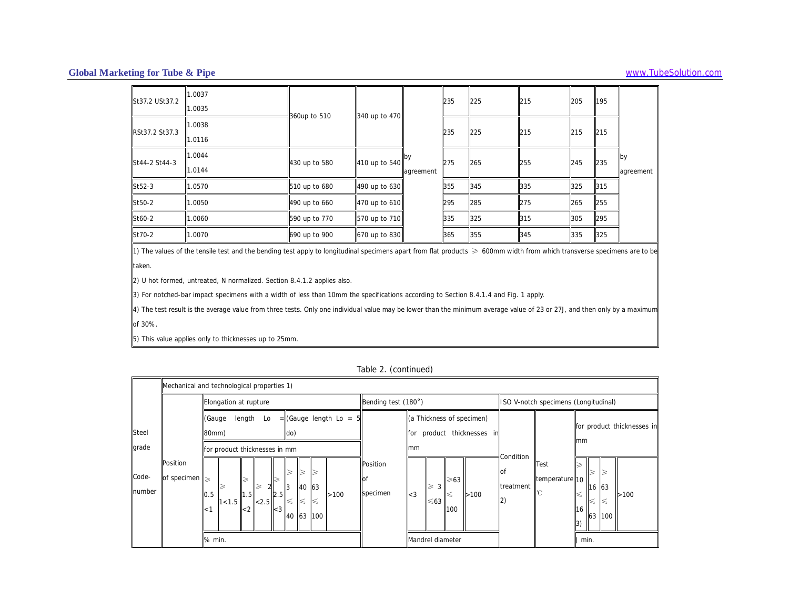| St37.2 USt37.2 | 1.0037<br>1.0035 |               |               |                  | 235 | 225 | 215 | 205 | 195 |                          |
|----------------|------------------|---------------|---------------|------------------|-----|-----|-----|-----|-----|--------------------------|
| RSt37.2 St37.3 | 1.0038<br>1.0116 | 360up to 510  | 340 up to 470 |                  | 235 | 225 | 215 | 215 | 215 |                          |
| St44-2 St44-3  | 1.0044<br>1.0144 | 430 up to 580 | 410 up to 540 | .py<br>agreement | 275 | 265 | 255 | 245 | 235 | <b>l</b> by<br>agreement |
| St52-3         | .0570            | 510 up to 680 | 490 up to 630 |                  | 355 | 345 | 335 | 325 | 315 |                          |
| St50-2         | 1.0050           | 490 up to 660 | 470 up to 610 |                  | 295 | 285 | 275 | 265 | 255 |                          |
| St60-2         | 1.0060           | 590 up to 770 | 570 up to 710 |                  | 335 | 325 | 315 | 305 | 295 |                          |
| St70-2         | 1.0070           | 690 up to 900 | 670 up to 830 |                  | 365 | 355 | 345 | 335 | 325 |                          |

1) The values of the tensile test and the bending test apply to longitudinal specimens apart from flat products ≥ 600mm width from which transverse specimens are to be taken.

2) U hot formed, untreated, N normalized. Section 8.4.1.2 applies also.

3) For notched-bar impact specimens with a width of less than 10mm the specifications according to Section 8.4.1.4 and Fig. 1 apply.

4) The test result is the average value from three tests. Only one individual value may be lower than the minimum average value of 23 or 27J, and then only by a maximum of 30%.

5) This value applies only to thicknesses up to 25mm.

|                       |                         | Mechanical and technological properties 1)                                                                                                             |                                                                                                     |                                                                                                                     |
|-----------------------|-------------------------|--------------------------------------------------------------------------------------------------------------------------------------------------------|-----------------------------------------------------------------------------------------------------|---------------------------------------------------------------------------------------------------------------------|
|                       |                         | Elongation at rupture                                                                                                                                  | Bending test (180°)                                                                                 | ISO V-notch specimens (Longitudinal)                                                                                |
| <b>Steel</b><br>grade |                         | $=$ (Gauge length Lo $=$<br>length<br>(Gauge<br>Lo<br>do)<br>80mm)<br>for product thicknesses in mm                                                    | (a Thickness of specimen)<br>product thicknesses in<br>for<br>mm                                    | for product thicknesses in<br>mm                                                                                    |
| Code-<br>number       | Position<br>of specimen | $\geqslant$<br>∣≽<br>∥≽<br>➢<br>≥<br>40 63<br>I3<br>>100<br>0.5<br>1.5<br> 2.5 <br>$\leq$<br>$\leq$<br>1 < 1.5<br>≤<br>< 2.5<br>< 1<br>-3<br>40 63 100 | <b>Position</b><br>lof<br>$\geqslant$ 63<br>3<br>specimen<br>$\mathsf{I}$ < 3<br>>100<br>≤63<br>100 | Condition<br>Test<br>οt<br>2<br>temperature <sub>10</sub><br>treatment<br>63<br><b>I</b> 16<br>>100<br>16<br>63 100 |
|                       |                         | % min.                                                                                                                                                 | Mandrel diameter                                                                                    | J min.                                                                                                              |

Table 2. (continued)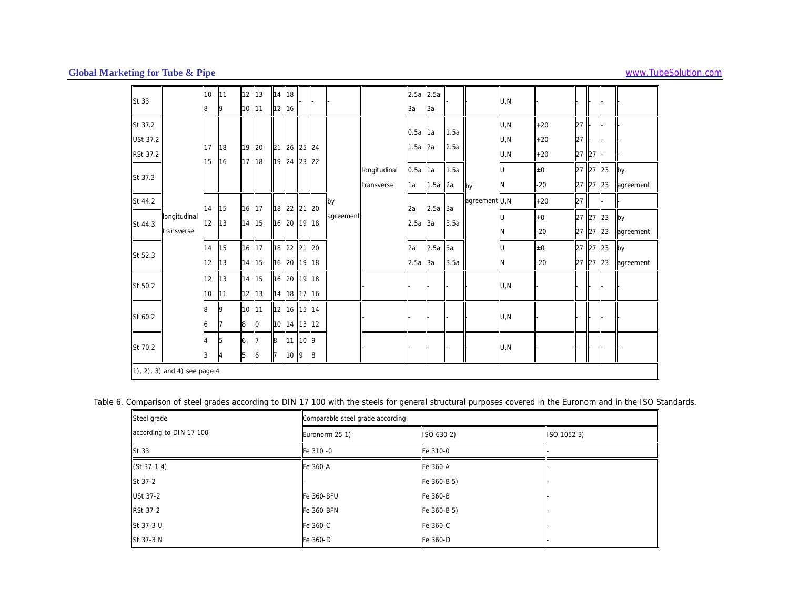| St 33    |                              | 10<br>8          | <b>111</b><br>19 | 12 13<br>10 11 |                | 14 18<br>12 16 |                            |     |   |           |              | $2.5a$ 2.5a<br>За | 13a             |      |               | U,N  |       |          |       |           |
|----------|------------------------------|------------------|------------------|----------------|----------------|----------------|----------------------------|-----|---|-----------|--------------|-------------------|-----------------|------|---------------|------|-------|----------|-------|-----------|
| St 37.2  |                              |                  |                  |                |                |                |                            |     |   |           |              |                   |                 |      |               | U, N | $+20$ | 27       |       |           |
| USt 37.2 |                              |                  |                  |                |                |                |                            |     |   |           |              | 0.5a              | 1a              | 1.5a |               | U,N  | $+20$ | 27       |       |           |
| RSt 37.2 |                              | 17<br>15         | 18<br>16         | 19 20<br>17 18 |                |                | 21 26 25 24<br>19 24 23 22 |     |   |           |              | 1.5a              | 2a              | 2.5a |               | U,N  | $+20$ | 27 27    |       |           |
| St 37.3  |                              |                  |                  |                |                |                |                            |     |   |           | longitudinal | $0.5a$ 1a         |                 | 1.5a |               |      | ±0    | 27 27 23 |       | by        |
|          |                              |                  |                  |                |                |                |                            |     |   |           | transverse   | 1a                | $\vert$ 1.5a 2a |      | by            |      | $-20$ | 27 27 23 |       | agreement |
| St 44.2  |                              | 14               | 15               | 16 17          |                |                | 18 22 21 20                |     |   | by        |              | 2a                | 2.5a            | 3a   | agreement U,N |      | $+20$ | 27       |       |           |
| St 44.3  | longitudinal                 | 12               | 13               | 14 15          |                |                | 16 20 19 18                |     |   | agreement |              | $2.5a$ 3a         |                 | 3.5a |               |      | ±0    | 27 27 23 |       | by        |
|          | transverse                   |                  |                  |                |                |                |                            |     |   |           |              |                   |                 |      |               |      | $-20$ | 27 27 23 |       | agreement |
| St 52.3  |                              | 14               | 15               | 16 17          |                |                | 18 22 21 20                |     |   |           |              | 2a                | 2.5a            | 3a   |               |      | ±0    | 27 27 23 |       | by        |
|          |                              | 12               | 13               | 14 15          |                |                | 16 20 19 18                |     |   |           |              | $2.5a$ 3a         |                 | 3.5a |               | N    | -20   | 127      | 27 23 | agreement |
| St 50.2  |                              | 12 <sup>12</sup> | 13               | 14 15          |                |                | 16 20 19 18                |     |   |           |              |                   |                 |      |               | U,N  |       |          |       |           |
|          |                              | 10               | 111              | $12$  13       |                |                | 14 18 17 16                |     |   |           |              |                   |                 |      |               |      |       |          |       |           |
| St 60.2  |                              |                  |                  | 10 11          |                |                | 12 16 15 14                |     |   |           |              |                   |                 |      |               | U,N  |       |          |       |           |
|          |                              | 6                |                  | 8              | $\overline{0}$ |                | 10 14 13 12                |     |   |           |              |                   |                 |      |               |      |       |          |       |           |
| St 70.2  |                              |                  | 15               | 6              | 117            | 8              | 11 10 9                    |     |   |           |              |                   |                 |      |               | U, N |       |          |       |           |
|          |                              | 3                | lA.              | 5              | 6              | 17             | 10                         | ll9 | 8 |           |              |                   |                 |      |               |      |       |          |       |           |
|          | 1), 2), 3) and 4) see page 4 |                  |                  |                |                |                |                            |     |   |           |              |                   |                 |      |               |      |       |          |       |           |

Table 6. Comparison of steel grades according to DIN 17 100 with the steels for general structural purposes covered in the Euronom and in the ISO Standards.

| Steel grade             | Comparable steel grade according |             |             |
|-------------------------|----------------------------------|-------------|-------------|
| according to DIN 17 100 | Euronorm 25 1)                   | ISO 630 2)  | ISO 1052 3) |
| St 33                   | Fe 310 -0                        | Fe 310-0    |             |
| $(St 37-1 4)$           | Fe 360-A                         | Fe 360-A    |             |
| St 37-2                 |                                  | Fe 360-B 5) |             |
| USt 37-2                | Fe 360-BFU                       | Fe 360-B    |             |
| RSt 37-2                | <b>Fe 360-BFN</b>                | Fe 360-B 5) |             |
| St 37-3 U               | Fe 360-C                         | Fe 360-C    |             |
| St 37-3 N               | Fe 360-D                         | Fe 360-D    |             |